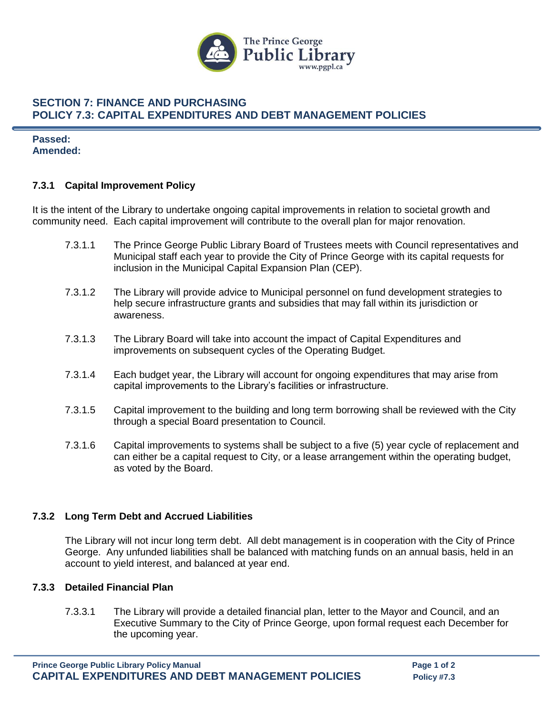

## **SECTION 7: FINANCE AND PURCHASING POLICY 7.3: CAPITAL EXPENDITURES AND DEBT MANAGEMENT POLICIES**

**Passed: Amended:**

### **7.3.1 Capital Improvement Policy**

It is the intent of the Library to undertake ongoing capital improvements in relation to societal growth and community need. Each capital improvement will contribute to the overall plan for major renovation.

- 7.3.1.1 The Prince George Public Library Board of Trustees meets with Council representatives and Municipal staff each year to provide the City of Prince George with its capital requests for inclusion in the Municipal Capital Expansion Plan (CEP).
- 7.3.1.2 The Library will provide advice to Municipal personnel on fund development strategies to help secure infrastructure grants and subsidies that may fall within its jurisdiction or awareness.
- 7.3.1.3 The Library Board will take into account the impact of Capital Expenditures and improvements on subsequent cycles of the Operating Budget.
- 7.3.1.4 Each budget year, the Library will account for ongoing expenditures that may arise from capital improvements to the Library's facilities or infrastructure.
- 7.3.1.5 Capital improvement to the building and long term borrowing shall be reviewed with the City through a special Board presentation to Council.
- 7.3.1.6 Capital improvements to systems shall be subject to a five (5) year cycle of replacement and can either be a capital request to City, or a lease arrangement within the operating budget, as voted by the Board.

### **7.3.2 Long Term Debt and Accrued Liabilities**

The Library will not incur long term debt. All debt management is in cooperation with the City of Prince George. Any unfunded liabilities shall be balanced with matching funds on an annual basis, held in an account to yield interest, and balanced at year end.

### **7.3.3 Detailed Financial Plan**

7.3.3.1 The Library will provide a detailed financial plan, letter to the Mayor and Council, and an Executive Summary to the City of Prince George, upon formal request each December for the upcoming year.